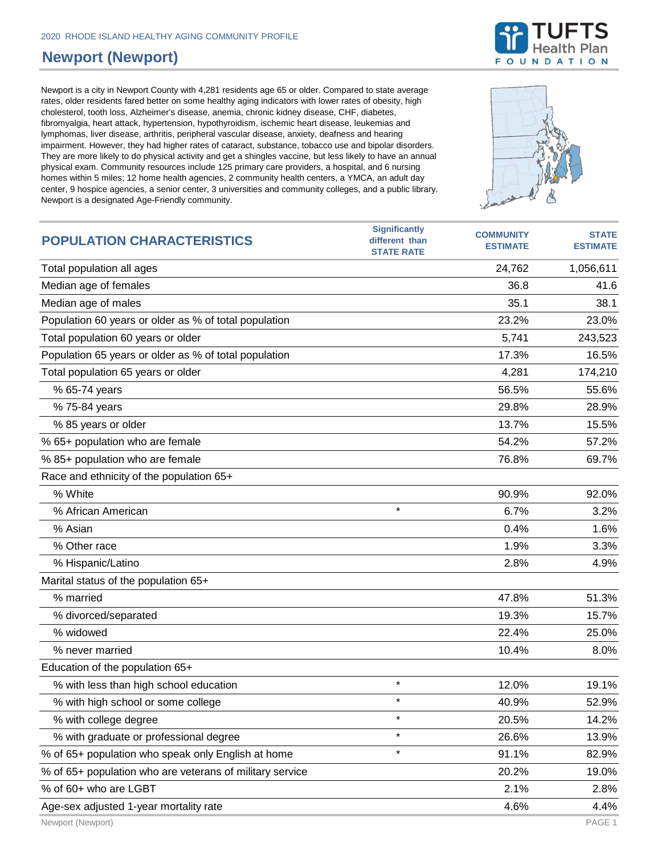## **Newport (Newport)**

Newport is a city in Newport County with 4,281 residents age 65 or older. Compared to state average rates, older residents fared better on some healthy aging indicators with lower rates of obesity, high cholesterol, tooth loss, Alzheimer's disease, anemia, chronic kidney disease, CHF, diabetes, fibromyalgia, heart attack, hypertension, hypothyroidism, ischemic heart disease, leukemias and lymphomas, liver disease, arthritis, peripheral vascular disease, anxiety, deafness and hearing impairment. However, they had higher rates of cataract, substance, tobacco use and bipolar disorders. They are more likely to do physical activity and get a shingles vaccine, but less likely to have an annual physical exam. Community resources include 125 primary care providers, a hospital, and 6 nursing homes within 5 miles; 12 home health agencies, 2 community health centers, a YMCA, an adult day center, 9 hospice agencies, a senior center, 3 universities and community colleges, and a public library. Newport is a designated Age-Friendly community.



% of 60+ who are LGBT 2.1% 2.8%

**Significantly** 





**STATE**

**COMMUNITY**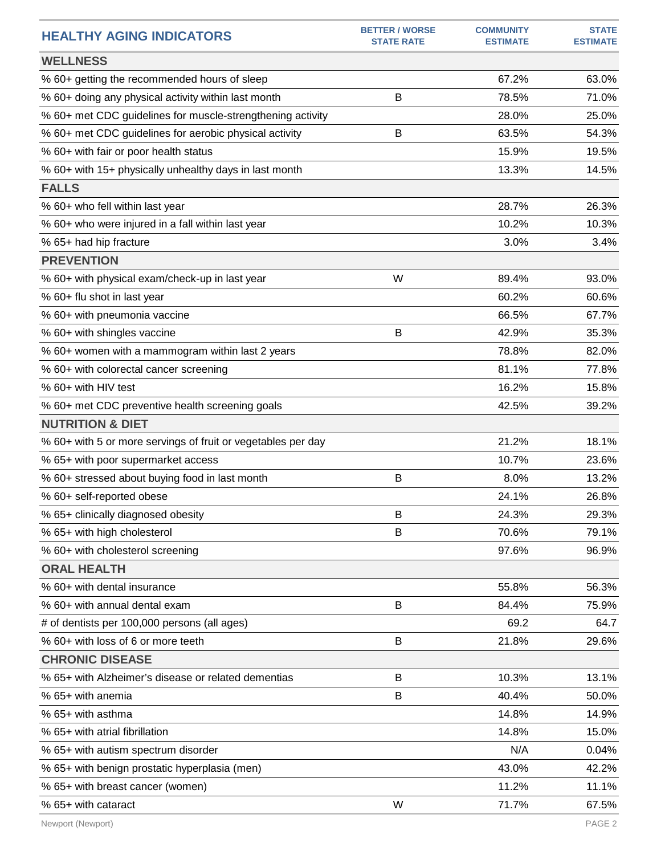| <b>HEALTHY AGING INDICATORS</b>                              | <b>BETTER / WORSE</b><br><b>STATE RATE</b> | <b>COMMUNITY</b><br><b>ESTIMATE</b> | <b>STATE</b><br><b>ESTIMATE</b> |
|--------------------------------------------------------------|--------------------------------------------|-------------------------------------|---------------------------------|
| <b>WELLNESS</b>                                              |                                            |                                     |                                 |
| % 60+ getting the recommended hours of sleep                 |                                            | 67.2%                               | 63.0%                           |
| % 60+ doing any physical activity within last month          | B                                          | 78.5%                               | 71.0%                           |
| % 60+ met CDC guidelines for muscle-strengthening activity   |                                            | 28.0%                               | 25.0%                           |
| % 60+ met CDC guidelines for aerobic physical activity       | B                                          | 63.5%                               | 54.3%                           |
| % 60+ with fair or poor health status                        |                                            | 15.9%                               | 19.5%                           |
| % 60+ with 15+ physically unhealthy days in last month       |                                            | 13.3%                               | 14.5%                           |
| <b>FALLS</b>                                                 |                                            |                                     |                                 |
| % 60+ who fell within last year                              |                                            | 28.7%                               | 26.3%                           |
| % 60+ who were injured in a fall within last year            |                                            | 10.2%                               | 10.3%                           |
| % 65+ had hip fracture                                       |                                            | 3.0%                                | 3.4%                            |
| <b>PREVENTION</b>                                            |                                            |                                     |                                 |
| % 60+ with physical exam/check-up in last year               | W                                          | 89.4%                               | 93.0%                           |
| % 60+ flu shot in last year                                  |                                            | 60.2%                               | 60.6%                           |
| % 60+ with pneumonia vaccine                                 |                                            | 66.5%                               | 67.7%                           |
| % 60+ with shingles vaccine                                  | В                                          | 42.9%                               | 35.3%                           |
| % 60+ women with a mammogram within last 2 years             |                                            | 78.8%                               | 82.0%                           |
| % 60+ with colorectal cancer screening                       |                                            | 81.1%                               | 77.8%                           |
| % 60+ with HIV test                                          |                                            | 16.2%                               | 15.8%                           |
| % 60+ met CDC preventive health screening goals              |                                            | 42.5%                               | 39.2%                           |
| <b>NUTRITION &amp; DIET</b>                                  |                                            |                                     |                                 |
| % 60+ with 5 or more servings of fruit or vegetables per day |                                            | 21.2%                               | 18.1%                           |
| % 65+ with poor supermarket access                           |                                            | 10.7%                               | 23.6%                           |
| % 60+ stressed about buying food in last month               | B                                          | 8.0%                                | 13.2%                           |
| % 60+ self-reported obese                                    |                                            | 24.1%                               | 26.8%                           |
| % 65+ clinically diagnosed obesity                           | В                                          | 24.3%                               | 29.3%                           |
| % 65+ with high cholesterol                                  | B                                          | 70.6%                               | 79.1%                           |
| % 60+ with cholesterol screening                             |                                            | 97.6%                               | 96.9%                           |
| <b>ORAL HEALTH</b>                                           |                                            |                                     |                                 |
| % 60+ with dental insurance                                  |                                            | 55.8%                               | 56.3%                           |
| % 60+ with annual dental exam                                | В                                          | 84.4%                               | 75.9%                           |
| # of dentists per 100,000 persons (all ages)                 |                                            | 69.2                                | 64.7                            |
| % 60+ with loss of 6 or more teeth                           | B                                          | 21.8%                               | 29.6%                           |
| <b>CHRONIC DISEASE</b>                                       |                                            |                                     |                                 |
| % 65+ with Alzheimer's disease or related dementias          | B                                          | 10.3%                               | 13.1%                           |
| % 65+ with anemia                                            | B                                          | 40.4%                               | 50.0%                           |
| % 65+ with asthma                                            |                                            | 14.8%                               | 14.9%                           |
| % 65+ with atrial fibrillation                               |                                            | 14.8%                               | 15.0%                           |
| % 65+ with autism spectrum disorder                          |                                            | N/A                                 | 0.04%                           |
| % 65+ with benign prostatic hyperplasia (men)                |                                            | 43.0%                               | 42.2%                           |
| % 65+ with breast cancer (women)                             |                                            | 11.2%                               | 11.1%                           |
| % 65+ with cataract                                          | W                                          | 71.7%                               | 67.5%                           |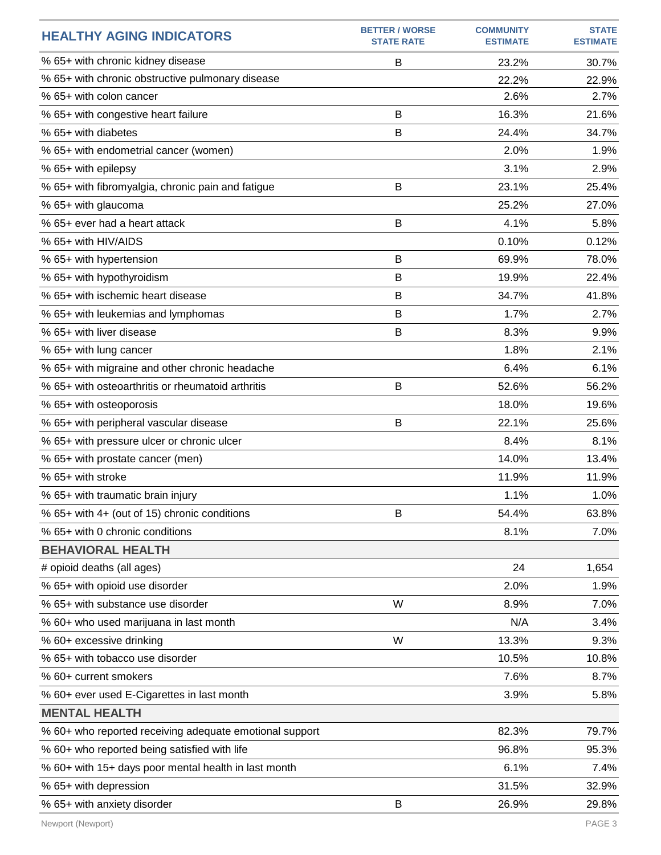| <b>HEALTHY AGING INDICATORS</b>                         | <b>BETTER / WORSE</b><br><b>STATE RATE</b> | <b>COMMUNITY</b><br><b>ESTIMATE</b> | <b>STATE</b><br><b>ESTIMATE</b> |
|---------------------------------------------------------|--------------------------------------------|-------------------------------------|---------------------------------|
| % 65+ with chronic kidney disease                       | B                                          | 23.2%                               | 30.7%                           |
| % 65+ with chronic obstructive pulmonary disease        |                                            | 22.2%                               | 22.9%                           |
| % 65+ with colon cancer                                 |                                            | 2.6%                                | 2.7%                            |
| % 65+ with congestive heart failure                     | B                                          | 16.3%                               | 21.6%                           |
| % 65+ with diabetes                                     | B                                          | 24.4%                               | 34.7%                           |
| % 65+ with endometrial cancer (women)                   |                                            | 2.0%                                | 1.9%                            |
| % 65+ with epilepsy                                     |                                            | 3.1%                                | 2.9%                            |
| % 65+ with fibromyalgia, chronic pain and fatigue       | B                                          | 23.1%                               | 25.4%                           |
| % 65+ with glaucoma                                     |                                            | 25.2%                               | 27.0%                           |
| % 65+ ever had a heart attack                           | B                                          | 4.1%                                | 5.8%                            |
| % 65+ with HIV/AIDS                                     |                                            | 0.10%                               | 0.12%                           |
| % 65+ with hypertension                                 | B                                          | 69.9%                               | 78.0%                           |
| % 65+ with hypothyroidism                               | B                                          | 19.9%                               | 22.4%                           |
| % 65+ with ischemic heart disease                       | B                                          | 34.7%                               | 41.8%                           |
| % 65+ with leukemias and lymphomas                      | B                                          | 1.7%                                | 2.7%                            |
| % 65+ with liver disease                                | B                                          | 8.3%                                | 9.9%                            |
| % 65+ with lung cancer                                  |                                            | 1.8%                                | 2.1%                            |
| % 65+ with migraine and other chronic headache          |                                            | 6.4%                                | 6.1%                            |
| % 65+ with osteoarthritis or rheumatoid arthritis       | B                                          | 52.6%                               | 56.2%                           |
| % 65+ with osteoporosis                                 |                                            | 18.0%                               | 19.6%                           |
| % 65+ with peripheral vascular disease                  | B                                          | 22.1%                               | 25.6%                           |
| % 65+ with pressure ulcer or chronic ulcer              |                                            | 8.4%                                | 8.1%                            |
| % 65+ with prostate cancer (men)                        |                                            | 14.0%                               | 13.4%                           |
| % 65+ with stroke                                       |                                            | 11.9%                               | 11.9%                           |
| % 65+ with traumatic brain injury                       |                                            | 1.1%                                | 1.0%                            |
| % 65+ with 4+ (out of 15) chronic conditions            | B                                          | 54.4%                               | 63.8%                           |
| % 65+ with 0 chronic conditions                         |                                            | 8.1%                                | 7.0%                            |
| <b>BEHAVIORAL HEALTH</b>                                |                                            |                                     |                                 |
| # opioid deaths (all ages)                              |                                            | 24                                  | 1,654                           |
| % 65+ with opioid use disorder                          |                                            | 2.0%                                | 1.9%                            |
| % 65+ with substance use disorder                       | W                                          | 8.9%                                | 7.0%                            |
| % 60+ who used marijuana in last month                  |                                            | N/A                                 | 3.4%                            |
| % 60+ excessive drinking                                | W                                          | 13.3%                               | 9.3%                            |
| % 65+ with tobacco use disorder                         |                                            | 10.5%                               | 10.8%                           |
| % 60+ current smokers                                   |                                            | 7.6%                                | 8.7%                            |
| % 60+ ever used E-Cigarettes in last month              |                                            | 3.9%                                | 5.8%                            |
| <b>MENTAL HEALTH</b>                                    |                                            |                                     |                                 |
| % 60+ who reported receiving adequate emotional support |                                            | 82.3%                               | 79.7%                           |
| % 60+ who reported being satisfied with life            |                                            | 96.8%                               | 95.3%                           |
| % 60+ with 15+ days poor mental health in last month    |                                            | 6.1%                                | 7.4%                            |
| % 65+ with depression                                   |                                            | 31.5%                               | 32.9%                           |
| % 65+ with anxiety disorder                             | B                                          | 26.9%                               | 29.8%                           |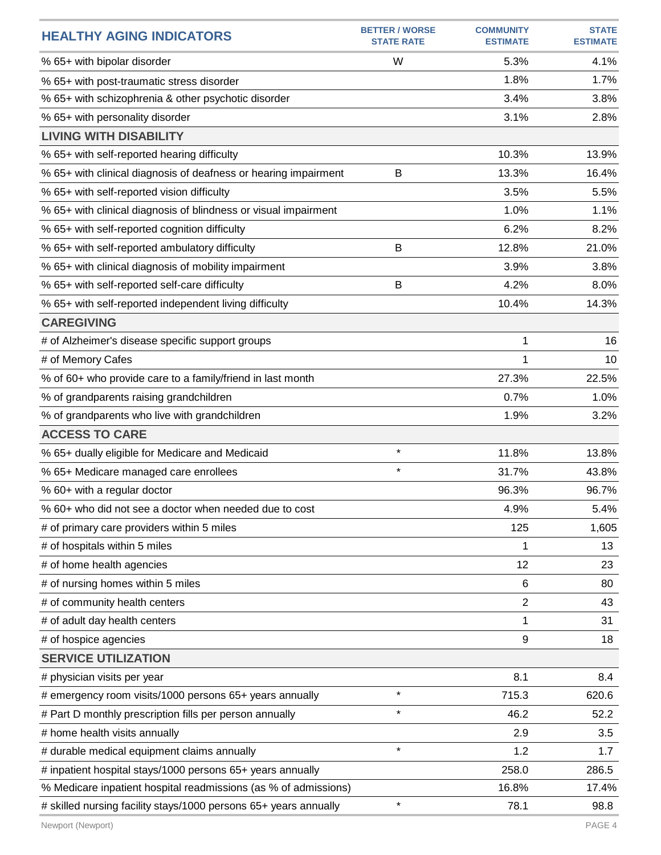| <b>HEALTHY AGING INDICATORS</b>                                  | <b>BETTER / WORSE</b><br><b>STATE RATE</b> | <b>COMMUNITY</b><br><b>ESTIMATE</b> | <b>STATE</b><br><b>ESTIMATE</b> |
|------------------------------------------------------------------|--------------------------------------------|-------------------------------------|---------------------------------|
| % 65+ with bipolar disorder                                      | W                                          | 5.3%                                | 4.1%                            |
| % 65+ with post-traumatic stress disorder                        |                                            | 1.8%                                | 1.7%                            |
| % 65+ with schizophrenia & other psychotic disorder              |                                            | 3.4%                                | 3.8%                            |
| % 65+ with personality disorder                                  |                                            | 3.1%                                | 2.8%                            |
| <b>LIVING WITH DISABILITY</b>                                    |                                            |                                     |                                 |
| % 65+ with self-reported hearing difficulty                      |                                            | 10.3%                               | 13.9%                           |
| % 65+ with clinical diagnosis of deafness or hearing impairment  | B                                          | 13.3%                               | 16.4%                           |
| % 65+ with self-reported vision difficulty                       |                                            | 3.5%                                | 5.5%                            |
| % 65+ with clinical diagnosis of blindness or visual impairment  |                                            | 1.0%                                | 1.1%                            |
| % 65+ with self-reported cognition difficulty                    |                                            | 6.2%                                | 8.2%                            |
| % 65+ with self-reported ambulatory difficulty                   | B                                          | 12.8%                               | 21.0%                           |
| % 65+ with clinical diagnosis of mobility impairment             |                                            | 3.9%                                | 3.8%                            |
| % 65+ with self-reported self-care difficulty                    | B                                          | 4.2%                                | 8.0%                            |
| % 65+ with self-reported independent living difficulty           |                                            | 10.4%                               | 14.3%                           |
| <b>CAREGIVING</b>                                                |                                            |                                     |                                 |
| # of Alzheimer's disease specific support groups                 |                                            | 1                                   | 16                              |
| # of Memory Cafes                                                |                                            | 1                                   | 10                              |
| % of 60+ who provide care to a family/friend in last month       |                                            | 27.3%                               | 22.5%                           |
| % of grandparents raising grandchildren                          |                                            | 0.7%                                | 1.0%                            |
| % of grandparents who live with grandchildren                    |                                            | 1.9%                                | 3.2%                            |
| <b>ACCESS TO CARE</b>                                            |                                            |                                     |                                 |
| % 65+ dually eligible for Medicare and Medicaid                  | $\star$                                    | 11.8%                               | 13.8%                           |
| % 65+ Medicare managed care enrollees                            | $\star$                                    | 31.7%                               | 43.8%                           |
| % 60+ with a regular doctor                                      |                                            | 96.3%                               | 96.7%                           |
| % 60+ who did not see a doctor when needed due to cost           |                                            | 4.9%                                | 5.4%                            |
| # of primary care providers within 5 miles                       |                                            | 125                                 | 1,605                           |
| # of hospitals within 5 miles                                    |                                            | 1                                   | 13                              |
| # of home health agencies                                        |                                            | 12                                  | 23                              |
| # of nursing homes within 5 miles                                |                                            | 6                                   | 80                              |
| # of community health centers                                    |                                            | $\overline{c}$                      | 43                              |
| # of adult day health centers                                    |                                            | 1                                   | 31                              |
| # of hospice agencies                                            |                                            | 9                                   | 18                              |
| <b>SERVICE UTILIZATION</b>                                       |                                            |                                     |                                 |
| # physician visits per year                                      |                                            | 8.1                                 | 8.4                             |
| # emergency room visits/1000 persons 65+ years annually          | $\star$                                    | 715.3                               | 620.6                           |
| # Part D monthly prescription fills per person annually          | $\star$                                    | 46.2                                | 52.2                            |
| # home health visits annually                                    |                                            | 2.9                                 | 3.5                             |
| # durable medical equipment claims annually                      | $\star$                                    | 1.2                                 | 1.7                             |
| # inpatient hospital stays/1000 persons 65+ years annually       |                                            | 258.0                               | 286.5                           |
| % Medicare inpatient hospital readmissions (as % of admissions)  |                                            | 16.8%                               | 17.4%                           |
| # skilled nursing facility stays/1000 persons 65+ years annually | $\star$                                    | 78.1                                | 98.8                            |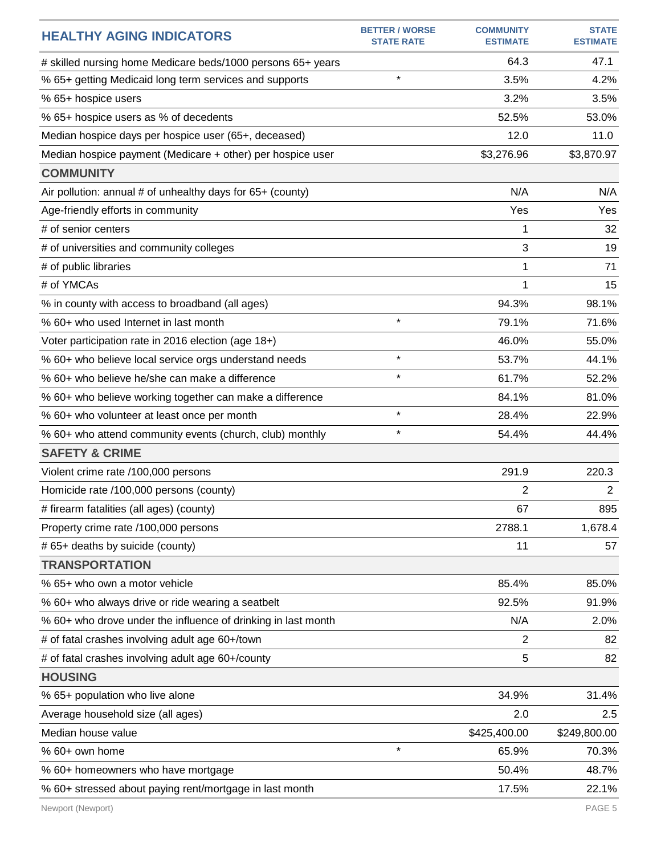| <b>HEALTHY AGING INDICATORS</b>                               | <b>BETTER / WORSE</b><br><b>STATE RATE</b> | <b>COMMUNITY</b><br><b>ESTIMATE</b> | <b>STATE</b><br><b>ESTIMATE</b> |
|---------------------------------------------------------------|--------------------------------------------|-------------------------------------|---------------------------------|
| # skilled nursing home Medicare beds/1000 persons 65+ years   |                                            | 64.3                                | 47.1                            |
| % 65+ getting Medicaid long term services and supports        | $\star$                                    | 3.5%                                | 4.2%                            |
| % 65+ hospice users                                           |                                            | 3.2%                                | 3.5%                            |
| % 65+ hospice users as % of decedents                         |                                            | 52.5%                               | 53.0%                           |
| Median hospice days per hospice user (65+, deceased)          |                                            | 12.0                                | 11.0                            |
| Median hospice payment (Medicare + other) per hospice user    |                                            | \$3,276.96                          | \$3,870.97                      |
| <b>COMMUNITY</b>                                              |                                            |                                     |                                 |
| Air pollution: annual # of unhealthy days for 65+ (county)    |                                            | N/A                                 | N/A                             |
| Age-friendly efforts in community                             |                                            | Yes                                 | Yes                             |
| # of senior centers                                           |                                            | 1                                   | 32                              |
| # of universities and community colleges                      |                                            | 3                                   | 19                              |
| # of public libraries                                         |                                            | 1                                   | 71                              |
| # of YMCAs                                                    |                                            | 1                                   | 15                              |
| % in county with access to broadband (all ages)               |                                            | 94.3%                               | 98.1%                           |
| % 60+ who used Internet in last month                         | $\star$                                    | 79.1%                               | 71.6%                           |
| Voter participation rate in 2016 election (age 18+)           |                                            | 46.0%                               | 55.0%                           |
| % 60+ who believe local service orgs understand needs         | $\star$                                    | 53.7%                               | 44.1%                           |
| % 60+ who believe he/she can make a difference                | $\star$                                    | 61.7%                               | 52.2%                           |
| % 60+ who believe working together can make a difference      |                                            | 84.1%                               | 81.0%                           |
| % 60+ who volunteer at least once per month                   | $\star$                                    | 28.4%                               | 22.9%                           |
| % 60+ who attend community events (church, club) monthly      | $\star$                                    | 54.4%                               | 44.4%                           |
| <b>SAFETY &amp; CRIME</b>                                     |                                            |                                     |                                 |
| Violent crime rate /100,000 persons                           |                                            | 291.9                               | 220.3                           |
| Homicide rate /100,000 persons (county)                       |                                            | 2                                   | $\overline{2}$                  |
| # firearm fatalities (all ages) (county)                      |                                            | 67                                  | 895                             |
| Property crime rate /100,000 persons                          |                                            | 2788.1                              | 1,678.4                         |
| # 65+ deaths by suicide (county)                              |                                            | 11                                  | 57                              |
| <b>TRANSPORTATION</b>                                         |                                            |                                     |                                 |
| % 65+ who own a motor vehicle                                 |                                            | 85.4%                               | 85.0%                           |
| % 60+ who always drive or ride wearing a seatbelt             |                                            | 92.5%                               | 91.9%                           |
| % 60+ who drove under the influence of drinking in last month |                                            | N/A                                 | 2.0%                            |
| # of fatal crashes involving adult age 60+/town               |                                            | 2                                   | 82                              |
| # of fatal crashes involving adult age 60+/county             |                                            | 5                                   | 82                              |
| <b>HOUSING</b>                                                |                                            |                                     |                                 |
| % 65+ population who live alone                               |                                            | 34.9%                               | 31.4%                           |
| Average household size (all ages)                             |                                            | 2.0                                 | 2.5                             |
| Median house value                                            |                                            | \$425,400.00                        | \$249,800.00                    |
| % 60+ own home                                                | $\star$                                    | 65.9%                               | 70.3%                           |
| % 60+ homeowners who have mortgage                            |                                            | 50.4%                               | 48.7%                           |
| % 60+ stressed about paying rent/mortgage in last month       |                                            | 17.5%                               | 22.1%                           |